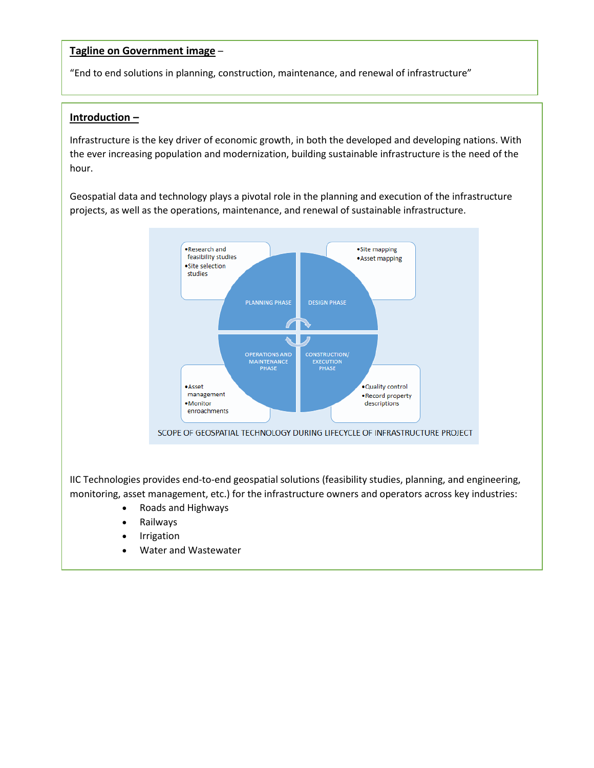## **Tagline on Government image** –

"End to end solutions in planning, construction, maintenance, and renewal of infrastructure"

## **Introduction –**

Infrastructure is the key driver of economic growth, in both the developed and developing nations. With the ever increasing population and modernization, building sustainable infrastructure is the need of the hour.

Geospatial data and technology plays a pivotal role in the planning and execution of the infrastructure projects, as well as the operations, maintenance, and renewal of sustainable infrastructure.



IIC Technologies provides end-to-end geospatial solutions (feasibility studies, planning, and engineering, monitoring, asset management, etc.) for the infrastructure owners and operators across key industries:

- Roads and Highways
- Railways
- Irrigation
- Water and Wastewater